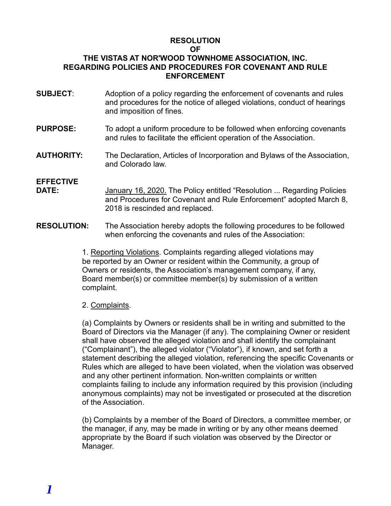### **RESOLUTION**

#### **OF**

### **THE VISTAS AT NOR'WOOD TOWNHOME ASSOCIATION, INC. REGARDING POLICIES AND PROCEDURES FOR COVENANT AND RULE ENFORCEMENT**

- **SUBJECT**: Adoption of a policy regarding the enforcement of covenants and rules and procedures for the notice of alleged violations, conduct of hearings and imposition of fines.
- **PURPOSE:** To adopt a uniform procedure to be followed when enforcing covenants and rules to facilitate the efficient operation of the Association.
- **AUTHORITY:** The Declaration, Articles of Incorporation and Bylaws of the Association, and Colorado law.

## **EFFECTIVE**

- January 16, 2020. The Policy entitled "Resolution ... Regarding Policies and Procedures for Covenant and Rule Enforcement" adopted March 8, 2018 is rescinded and replaced.
- **RESOLUTION:** The Association hereby adopts the following procedures to be followed when enforcing the covenants and rules of the Association:

1. Reporting Violations. Complaints regarding alleged violations may be reported by an Owner or resident within the Community, a group of Owners or residents, the Association's management company, if any, Board member(s) or committee member(s) by submission of a written complaint.

### 2. Complaints.

(a) Complaints by Owners or residents shall be in writing and submitted to the Board of Directors via the Manager (if any). The complaining Owner or resident shall have observed the alleged violation and shall identify the complainant ("Complainant"), the alleged violator ("Violator"), if known, and set forth a statement describing the alleged violation, referencing the specific Covenants or Rules which are alleged to have been violated, when the violation was observed and any other pertinent information. Non-written complaints or written complaints failing to include any information required by this provision (including anonymous complaints) may not be investigated or prosecuted at the discretion of the Association.

(b) Complaints by a member of the Board of Directors, a committee member, or the manager, if any, may be made in writing or by any other means deemed appropriate by the Board if such violation was observed by the Director or Manager.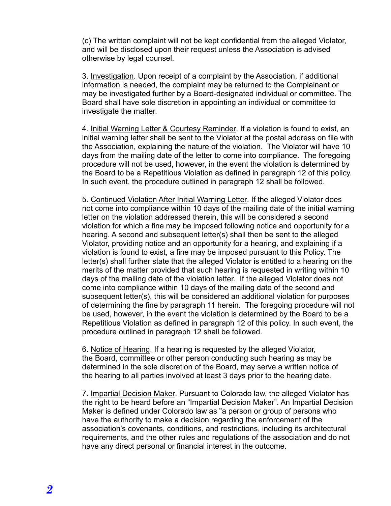(c) The written complaint will not be kept confidential from the alleged Violator, and will be disclosed upon their request unless the Association is advised otherwise by legal counsel.

3. Investigation. Upon receipt of a complaint by the Association, if additional information is needed, the complaint may be returned to the Complainant or may be investigated further by a Board-designated individual or committee. The Board shall have sole discretion in appointing an individual or committee to investigate the matter.

4. Initial Warning Letter & Courtesy Reminder. If a violation is found to exist, an initial warning letter shall be sent to the Violator at the postal address on file with the Association, explaining the nature of the violation. The Violator will have 10 days from the mailing date of the letter to come into compliance. The foregoing procedure will not be used, however, in the event the violation is determined by the Board to be a Repetitious Violation as defined in paragraph 12 of this policy. In such event, the procedure outlined in paragraph 12 shall be followed.

5. Continued Violation After Initial Warning Letter. If the alleged Violator does not come into compliance within 10 days of the mailing date of the initial warning letter on the violation addressed therein, this will be considered a second violation for which a fine may be imposed following notice and opportunity for a hearing. A second and subsequent letter(s) shall then be sent to the alleged Violator, providing notice and an opportunity for a hearing, and explaining if a violation is found to exist, a fine may be imposed pursuant to this Policy. The letter(s) shall further state that the alleged Violator is entitled to a hearing on the merits of the matter provided that such hearing is requested in writing within 10 days of the mailing date of the violation letter. If the alleged Violator does not come into compliance within 10 days of the mailing date of the second and subsequent letter(s), this will be considered an additional violation for purposes of determining the fine by paragraph 11 herein. The foregoing procedure will not be used, however, in the event the violation is determined by the Board to be a Repetitious Violation as defined in paragraph 12 of this policy. In such event, the procedure outlined in paragraph 12 shall be followed.

6. Notice of Hearing. If a hearing is requested by the alleged Violator, the Board, committee or other person conducting such hearing as may be determined in the sole discretion of the Board, may serve a written notice of the hearing to all parties involved at least 3 days prior to the hearing date.

7. Impartial Decision Maker. Pursuant to Colorado law, the alleged Violator has the right to be heard before an "Impartial Decision Maker". An Impartial Decision Maker is defined under Colorado law as "a person or group of persons who have the authority to make a decision regarding the enforcement of the association's covenants, conditions, and restrictions, including its architectural requirements, and the other rules and regulations of the association and do not have any direct personal or financial interest in the outcome.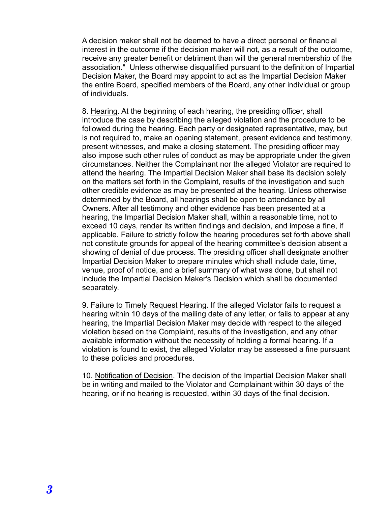A decision maker shall not be deemed to have a direct personal or financial interest in the outcome if the decision maker will not, as a result of the outcome, receive any greater benefit or detriment than will the general membership of the association." Unless otherwise disqualified pursuant to the definition of Impartial Decision Maker, the Board may appoint to act as the Impartial Decision Maker the entire Board, specified members of the Board, any other individual or group of individuals.

8. Hearing. At the beginning of each hearing, the presiding officer, shall introduce the case by describing the alleged violation and the procedure to be followed during the hearing. Each party or designated representative, may, but is not required to, make an opening statement, present evidence and testimony, present witnesses, and make a closing statement. The presiding officer may also impose such other rules of conduct as may be appropriate under the given circumstances. Neither the Complainant nor the alleged Violator are required to attend the hearing. The Impartial Decision Maker shall base its decision solely on the matters set forth in the Complaint, results of the investigation and such other credible evidence as may be presented at the hearing. Unless otherwise determined by the Board, all hearings shall be open to attendance by all Owners. After all testimony and other evidence has been presented at a hearing, the Impartial Decision Maker shall, within a reasonable time, not to exceed 10 days, render its written findings and decision, and impose a fine, if applicable. Failure to strictly follow the hearing procedures set forth above shall not constitute grounds for appeal of the hearing committee's decision absent a showing of denial of due process. The presiding officer shall designate another Impartial Decision Maker to prepare minutes which shall include date, time, venue, proof of notice, and a brief summary of what was done, but shall not include the Impartial Decision Maker's Decision which shall be documented separately.

9. Failure to Timely Request Hearing. If the alleged Violator fails to request a hearing within 10 days of the mailing date of any letter, or fails to appear at any hearing, the Impartial Decision Maker may decide with respect to the alleged violation based on the Complaint, results of the investigation, and any other available information without the necessity of holding a formal hearing. If a violation is found to exist, the alleged Violator may be assessed a fine pursuant to these policies and procedures.

10. Notification of Decision. The decision of the Impartial Decision Maker shall be in writing and mailed to the Violator and Complainant within 30 days of the hearing, or if no hearing is requested, within 30 days of the final decision.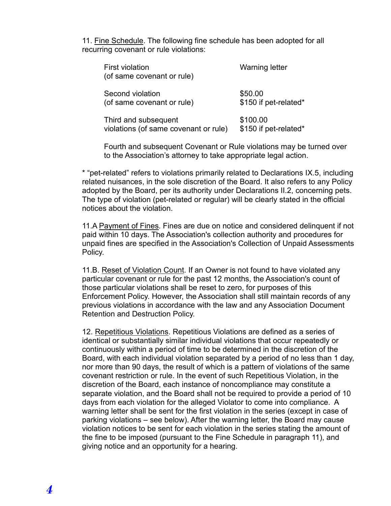11. Fine Schedule. The following fine schedule has been adopted for all recurring covenant or rule violations:

| <b>First violation</b><br>(of same covenant or rule) | <b>Warning letter</b> |
|------------------------------------------------------|-----------------------|
| Second violation                                     | \$50.00               |
| (of same covenant or rule)                           | \$150 if pet-related* |
| Third and subsequent                                 | \$100.00              |
| violations (of same covenant or rule)                | \$150 if pet-related* |

Fourth and subsequent Covenant or Rule violations may be turned over to the Association's attorney to take appropriate legal action.

\* "pet-related" refers to violations primarily related to Declarations IX.5, including related nuisances, in the sole discretion of the Board. It also refers to any Policy adopted by the Board, per its authority under Declarations II.2, concerning pets. The type of violation (pet-related or regular) will be clearly stated in the official notices about the violation.

11.A Payment of Fines. Fines are due on notice and considered delinquent if not paid within 10 days. The Association's collection authority and procedures for unpaid fines are specified in the Association's Collection of Unpaid Assessments Policy.

11.B. Reset of Violation Count. If an Owner is not found to have violated any particular covenant or rule for the past 12 months, the Association's count of those particular violations shall be reset to zero, for purposes of this Enforcement Policy. However, the Association shall still maintain records of any previous violations in accordance with the law and any Association Document Retention and Destruction Policy.

12. Repetitious Violations. Repetitious Violations are defined as a series of identical or substantially similar individual violations that occur repeatedly or continuously within a period of time to be determined in the discretion of the Board, with each individual violation separated by a period of no less than 1 day, nor more than 90 days, the result of which is a pattern of violations of the same covenant restriction or rule. In the event of such Repetitious Violation, in the discretion of the Board, each instance of noncompliance may constitute a separate violation, and the Board shall not be required to provide a period of 10 days from each violation for the alleged Violator to come into compliance. A warning letter shall be sent for the first violation in the series (except in case of parking violations – see below). After the warning letter, the Board may cause violation notices to be sent for each violation in the series stating the amount of the fine to be imposed (pursuant to the Fine Schedule in paragraph 11), and giving notice and an opportunity for a hearing.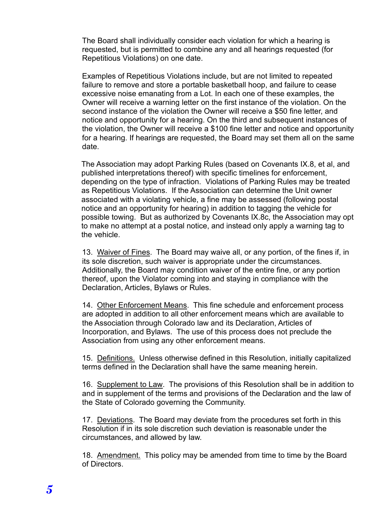The Board shall individually consider each violation for which a hearing is requested, but is permitted to combine any and all hearings requested (for Repetitious Violations) on one date.

Examples of Repetitious Violations include, but are not limited to repeated failure to remove and store a portable basketball hoop, and failure to cease excessive noise emanating from a Lot. In each one of these examples, the Owner will receive a warning letter on the first instance of the violation. On the second instance of the violation the Owner will receive a \$50 fine letter, and notice and opportunity for a hearing. On the third and subsequent instances of the violation, the Owner will receive a \$100 fine letter and notice and opportunity for a hearing. If hearings are requested, the Board may set them all on the same date.

The Association may adopt Parking Rules (based on Covenants IX.8, et al, and published interpretations thereof) with specific timelines for enforcement, depending on the type of infraction. Violations of Parking Rules may be treated as Repetitious Violations. If the Association can determine the Unit owner associated with a violating vehicle, a fine may be assessed (following postal notice and an opportunity for hearing) in addition to tagging the vehicle for possible towing. But as authorized by Covenants IX.8c, the Association may opt to make no attempt at a postal notice, and instead only apply a warning tag to the vehicle.

13. Waiver of Fines. The Board may waive all, or any portion, of the fines if, in its sole discretion, such waiver is appropriate under the circumstances. Additionally, the Board may condition waiver of the entire fine, or any portion thereof, upon the Violator coming into and staying in compliance with the Declaration, Articles, Bylaws or Rules.

14. Other Enforcement Means. This fine schedule and enforcement process are adopted in addition to all other enforcement means which are available to the Association through Colorado law and its Declaration, Articles of Incorporation, and Bylaws. The use of this process does not preclude the Association from using any other enforcement means.

15. Definitions. Unless otherwise defined in this Resolution, initially capitalized terms defined in the Declaration shall have the same meaning herein.

16. Supplement to Law. The provisions of this Resolution shall be in addition to and in supplement of the terms and provisions of the Declaration and the law of the State of Colorado governing the Community.

17. Deviations. The Board may deviate from the procedures set forth in this Resolution if in its sole discretion such deviation is reasonable under the circumstances, and allowed by law.

18. Amendment. This policy may be amended from time to time by the Board of Directors.